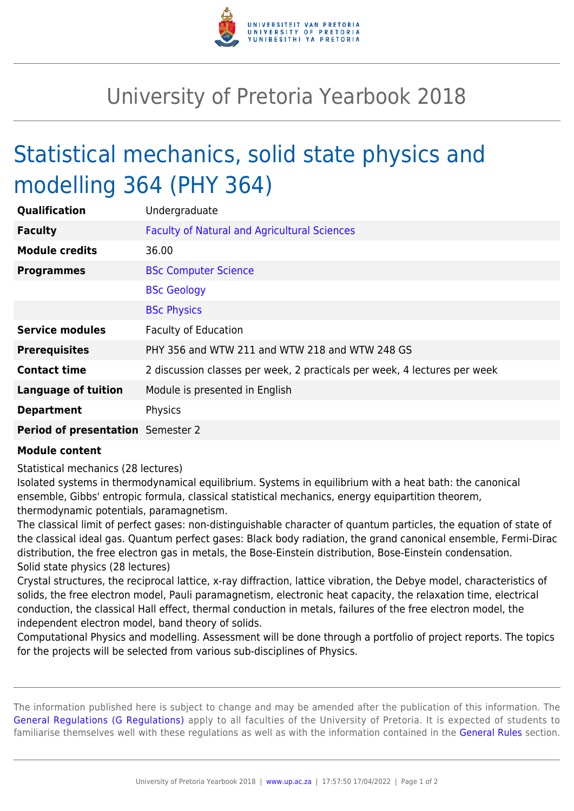

## University of Pretoria Yearbook 2018

## Statistical mechanics, solid state physics and modelling 364 (PHY 364)

| Qualification                     | Undergraduate                                                             |
|-----------------------------------|---------------------------------------------------------------------------|
| <b>Faculty</b>                    | <b>Faculty of Natural and Agricultural Sciences</b>                       |
| <b>Module credits</b>             | 36.00                                                                     |
| <b>Programmes</b>                 | <b>BSc Computer Science</b>                                               |
|                                   | <b>BSc Geology</b>                                                        |
|                                   | <b>BSc Physics</b>                                                        |
| <b>Service modules</b>            | <b>Faculty of Education</b>                                               |
| <b>Prerequisites</b>              | PHY 356 and WTW 211 and WTW 218 and WTW 248 GS                            |
| <b>Contact time</b>               | 2 discussion classes per week, 2 practicals per week, 4 lectures per week |
| <b>Language of tuition</b>        | Module is presented in English                                            |
| <b>Department</b>                 | Physics                                                                   |
| Period of presentation Semester 2 |                                                                           |

## **Module content**

Statistical mechanics (28 lectures)

Isolated systems in thermodynamical equilibrium. Systems in equilibrium with a heat bath: the canonical ensemble, Gibbs' entropic formula, classical statistical mechanics, energy equipartition theorem, thermodynamic potentials, paramagnetism.

The classical limit of perfect gases: non-distinguishable character of quantum particles, the equation of state of the classical ideal gas. Quantum perfect gases: Black body radiation, the grand canonical ensemble, Fermi-Dirac distribution, the free electron gas in metals, the Bose-Einstein distribution, Bose-Einstein condensation. Solid state physics (28 lectures)

Crystal structures, the reciprocal lattice, x-ray diffraction, lattice vibration, the Debye model, characteristics of solids, the free electron model, Pauli paramagnetism, electronic heat capacity, the relaxation time, electrical conduction, the classical Hall effect, thermal conduction in metals, failures of the free electron model, the independent electron model, band theory of solids.

Computational Physics and modelling. Assessment will be done through a portfolio of project reports. The topics for the projects will be selected from various sub-disciplines of Physics.

The information published here is subject to change and may be amended after the publication of this information. The [General Regulations \(G Regulations\)](https://www.up.ac.za/parents/yearbooks/2018/rules/view/REG) apply to all faculties of the University of Pretoria. It is expected of students to familiarise themselves well with these regulations as well as with the information contained in the [General Rules](https://www.up.ac.za/parents/yearbooks/2018/rules/view/RUL) section.